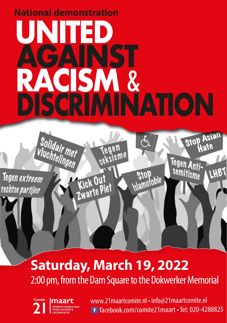## **UNITED AGAINST RACISM** & **National demonstration DISCRIMINATION**

Jegen<br>seksisme

Kick Out<br>Zwarte Piet

Tegen extreem rechtse partijen

## **Saturday, March 19, 2022** 2:00 pm, from the Dam Square to the Dokwerker Memorial



Solidair met

www.21maartcomite.nl • info@21maartcomite.nl<br> **1** facebook.com/comite21maart • Tel: 020-4288825

Stop<br>Islamotobie

**Stop** 

Tegen Anti-

semitisme

**Hate** 

LHBT